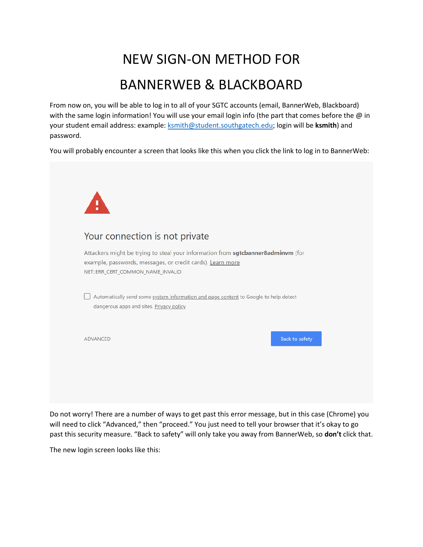## NEW SIGN-ON METHOD FOR BANNERWEB & BLACKBOARD

From now on, you will be able to log in to all of your SGTC accounts (email, BannerWeb, Blackboard) with the same login information! You will use your email login info (the part that comes before the  $\omega$  in your student email address: example[: ksmith@student.southgatech.edu;](mailto:ksmith@student.southgatech.edu) login will be **ksmith**) and password.

You will probably encounter a screen that looks like this when you click the link to log in to BannerWeb:

| Your connection is not private<br>Attackers might be trying to steal your information from sgtcbanner8adminvm (for<br>example, passwords, messages, or credit cards). Learn more<br>NET:: ERR_CERT_COMMON_NAME_INVALID<br>Automatically send some system information and page content to Google to help detect<br>dangerous apps and sites. Privacy policy |  |
|------------------------------------------------------------------------------------------------------------------------------------------------------------------------------------------------------------------------------------------------------------------------------------------------------------------------------------------------------------|--|
|                                                                                                                                                                                                                                                                                                                                                            |  |
|                                                                                                                                                                                                                                                                                                                                                            |  |
|                                                                                                                                                                                                                                                                                                                                                            |  |
| <b>Back to safety</b><br><b>ADVANCED</b>                                                                                                                                                                                                                                                                                                                   |  |

Do not worry! There are a number of ways to get past this error message, but in this case (Chrome) you will need to click "Advanced," then "proceed." You just need to tell your browser that it's okay to go past this security measure. "Back to safety" will only take you away from BannerWeb, so **don't** click that.

The new login screen looks like this: